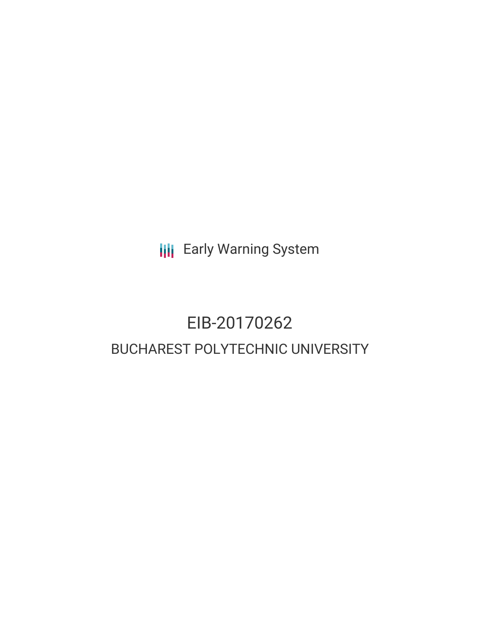**III** Early Warning System

# EIB-20170262 BUCHAREST POLYTECHNIC UNIVERSITY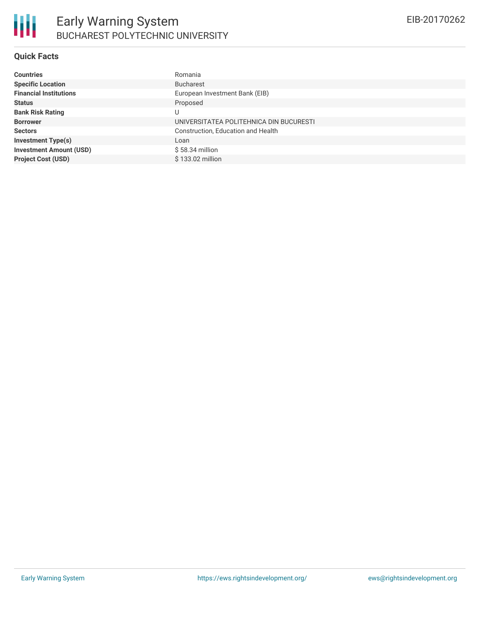#### **Quick Facts**

| <b>Countries</b>               | Romania                                 |
|--------------------------------|-----------------------------------------|
| <b>Specific Location</b>       | <b>Bucharest</b>                        |
| <b>Financial Institutions</b>  | European Investment Bank (EIB)          |
| <b>Status</b>                  | Proposed                                |
| <b>Bank Risk Rating</b>        | U                                       |
| <b>Borrower</b>                | UNIVERSITATEA POLITEHNICA DIN BUCURESTI |
| <b>Sectors</b>                 | Construction, Education and Health      |
| <b>Investment Type(s)</b>      | Loan                                    |
| <b>Investment Amount (USD)</b> | $$58.34$ million                        |
| <b>Project Cost (USD)</b>      | \$133.02 million                        |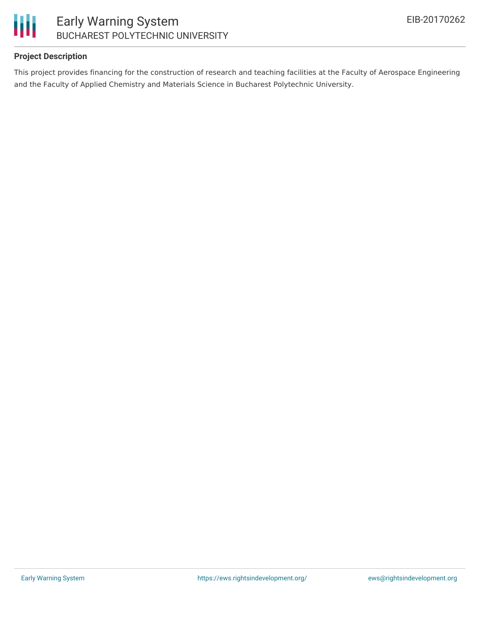

## **Project Description**

This project provides financing for the construction of research and teaching facilities at the Faculty of Aerospace Engineering and the Faculty of Applied Chemistry and Materials Science in Bucharest Polytechnic University.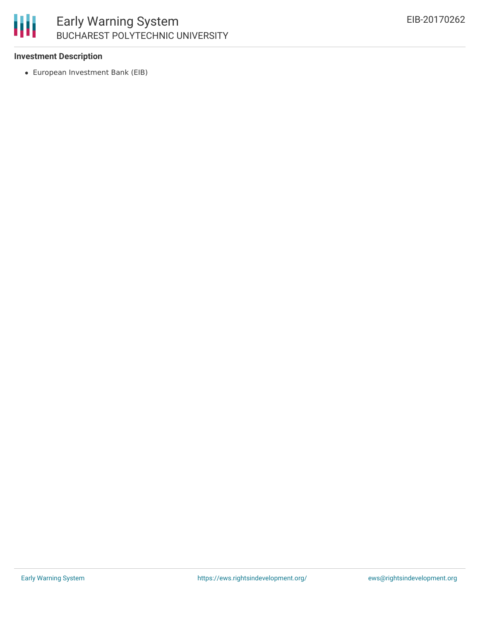

#### **Investment Description**

European Investment Bank (EIB)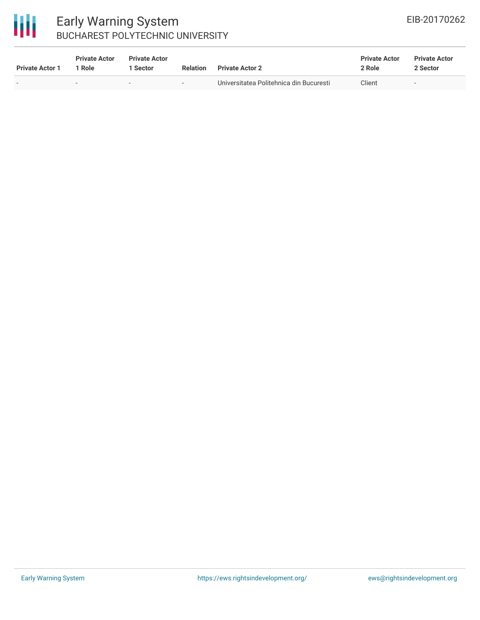

# Early Warning System BUCHAREST POLYTECHNIC UNIVERSITY

| <b>Private Actor 1</b> | <b>Private Actor</b><br>  Role | <b>Private Actor</b><br>1 Sector | <b>Relation</b> | <b>Private Actor 2</b>                  | <b>Private Actor</b><br>2 Role | <b>Private Actor</b><br>2 Sector |
|------------------------|--------------------------------|----------------------------------|-----------------|-----------------------------------------|--------------------------------|----------------------------------|
|                        | $\sim$                         | $\sim$                           | $\sim$          | Universitatea Politehnica din Bucuresti | Client                         | $\overline{\phantom{a}}$         |